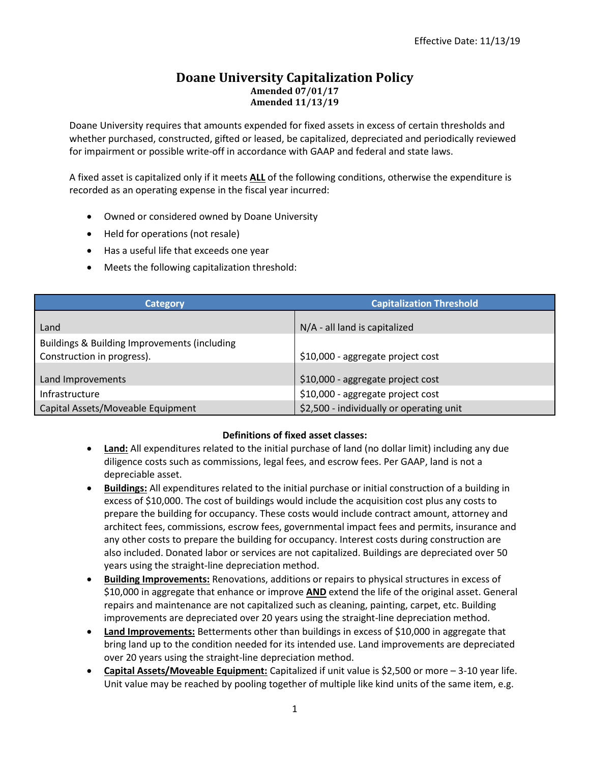### **Doane University Capitalization Policy Amended 07/01/17 Amended 11/13/19**

Doane University requires that amounts expended for fixed assets in excess of certain thresholds and whether purchased, constructed, gifted or leased, be capitalized, depreciated and periodically reviewed for impairment or possible write-off in accordance with GAAP and federal and state laws.

A fixed asset is capitalized only if it meets **ALL** of the following conditions, otherwise the expenditure is recorded as an operating expense in the fiscal year incurred:

- Owned or considered owned by Doane University
- Held for operations (not resale)
- Has a useful life that exceeds one year
- Meets the following capitalization threshold:

| Category                                                                   | <b>Capitalization Threshold</b>          |  |  |
|----------------------------------------------------------------------------|------------------------------------------|--|--|
| Land                                                                       | N/A - all land is capitalized            |  |  |
| Buildings & Building Improvements (including<br>Construction in progress). | \$10,000 - aggregate project cost        |  |  |
| Land Improvements                                                          | \$10,000 - aggregate project cost        |  |  |
| Infrastructure                                                             | \$10,000 - aggregate project cost        |  |  |
| Capital Assets/Moveable Equipment                                          | \$2,500 - individually or operating unit |  |  |

#### **Definitions of fixed asset classes:**

- **Land:** All expenditures related to the initial purchase of land (no dollar limit) including any due diligence costs such as commissions, legal fees, and escrow fees. Per GAAP, land is not a depreciable asset.
- **Buildings:** All expenditures related to the initial purchase or initial construction of a building in excess of \$10,000. The cost of buildings would include the acquisition cost plus any costs to prepare the building for occupancy. These costs would include contract amount, attorney and architect fees, commissions, escrow fees, governmental impact fees and permits, insurance and any other costs to prepare the building for occupancy. Interest costs during construction are also included. Donated labor or services are not capitalized. Buildings are depreciated over 50 years using the straight-line depreciation method.
- **Building Improvements:** Renovations, additions or repairs to physical structures in excess of \$10,000 in aggregate that enhance or improve **AND** extend the life of the original asset. General repairs and maintenance are not capitalized such as cleaning, painting, carpet, etc. Building improvements are depreciated over 20 years using the straight-line depreciation method.
- **Land Improvements:** Betterments other than buildings in excess of \$10,000 in aggregate that bring land up to the condition needed for its intended use. Land improvements are depreciated over 20 years using the straight-line depreciation method.
- **Capital Assets/Moveable Equipment:** Capitalized if unit value is \$2,500 or more 3-10 year life. Unit value may be reached by pooling together of multiple like kind units of the same item, e.g.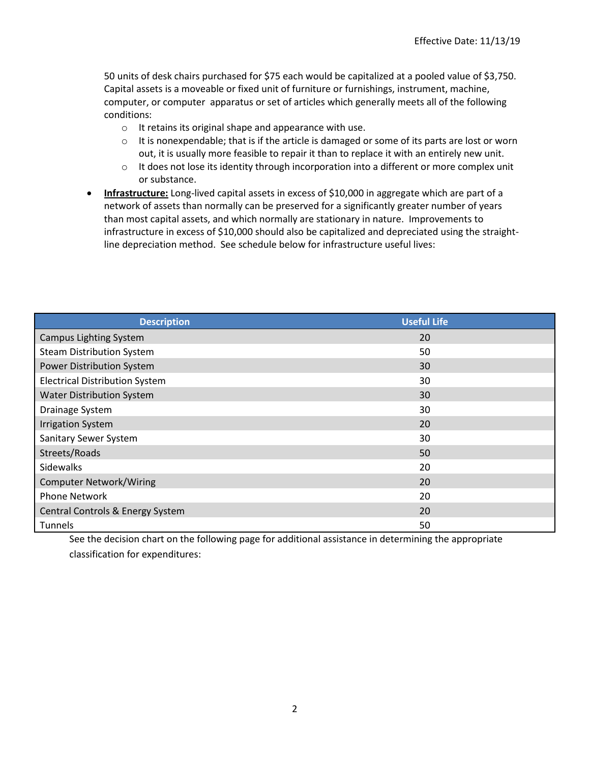50 units of desk chairs purchased for \$75 each would be capitalized at a pooled value of \$3,750. Capital assets is a moveable or fixed unit of furniture or furnishings, instrument, machine, computer, or computer apparatus or set of articles which generally meets all of the following conditions:

- o It retains its original shape and appearance with use.
- $\circ$  It is nonexpendable; that is if the article is damaged or some of its parts are lost or worn out, it is usually more feasible to repair it than to replace it with an entirely new unit.
- $\circ$  It does not lose its identity through incorporation into a different or more complex unit or substance.
- **Infrastructure:** Long-lived capital assets in excess of \$10,000 in aggregate which are part of a network of assets than normally can be preserved for a significantly greater number of years than most capital assets, and which normally are stationary in nature. Improvements to infrastructure in excess of \$10,000 should also be capitalized and depreciated using the straightline depreciation method. See schedule below for infrastructure useful lives:

| <b>Description</b>                    | <b>Useful Life</b> |
|---------------------------------------|--------------------|
| <b>Campus Lighting System</b>         | 20                 |
| <b>Steam Distribution System</b>      | 50                 |
| Power Distribution System             | 30                 |
| <b>Electrical Distribution System</b> | 30                 |
| <b>Water Distribution System</b>      | 30                 |
| Drainage System                       | 30                 |
| <b>Irrigation System</b>              | 20                 |
| Sanitary Sewer System                 | 30                 |
| Streets/Roads                         | 50                 |
| Sidewalks                             | 20                 |
| <b>Computer Network/Wiring</b>        | 20                 |
| <b>Phone Network</b>                  | 20                 |
| Central Controls & Energy System      | 20                 |
| Tunnels                               | 50                 |

See the decision chart on the following page for additional assistance in determining the appropriate classification for expenditures: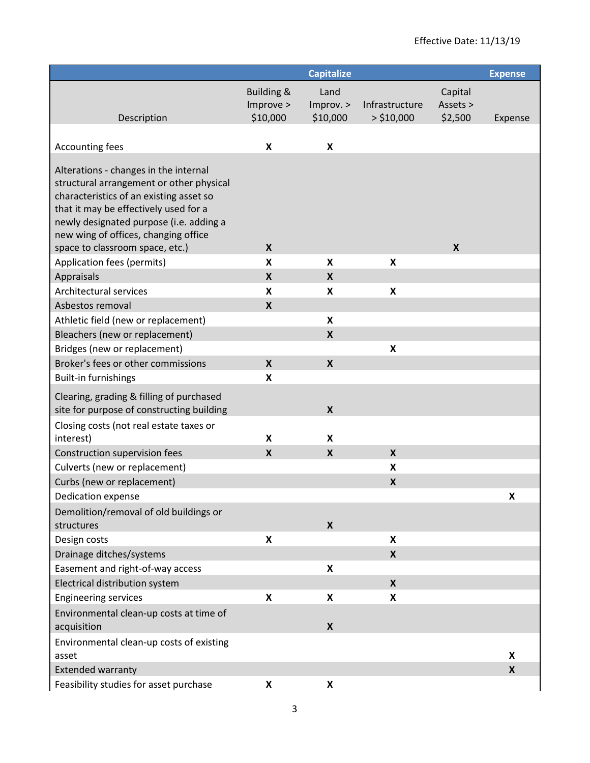|                                                                                 |                           | <b>Capitalize</b>         |                           |                  | <b>Expense</b> |
|---------------------------------------------------------------------------------|---------------------------|---------------------------|---------------------------|------------------|----------------|
|                                                                                 | <b>Building &amp;</b>     | Land                      |                           | Capital          |                |
|                                                                                 | Improve >                 | Improv. >                 | Infrastructure            | Assets >         |                |
| Description                                                                     | \$10,000                  | \$10,000                  | $>$ \$10,000              | \$2,500          | Expense        |
|                                                                                 |                           |                           |                           |                  |                |
| <b>Accounting fees</b>                                                          | $\pmb{\mathsf{x}}$        | X                         |                           |                  |                |
| Alterations - changes in the internal                                           |                           |                           |                           |                  |                |
| structural arrangement or other physical                                        |                           |                           |                           |                  |                |
| characteristics of an existing asset so                                         |                           |                           |                           |                  |                |
| that it may be effectively used for a                                           |                           |                           |                           |                  |                |
| newly designated purpose (i.e. adding a<br>new wing of offices, changing office |                           |                           |                           |                  |                |
| space to classroom space, etc.)                                                 | $\boldsymbol{X}$          |                           |                           | $\boldsymbol{X}$ |                |
| Application fees (permits)                                                      | X                         | X                         | X                         |                  |                |
| Appraisals                                                                      | $\boldsymbol{\mathsf{X}}$ | X                         |                           |                  |                |
| Architectural services                                                          | X                         | X                         | X                         |                  |                |
| Asbestos removal                                                                | $\boldsymbol{\mathsf{X}}$ |                           |                           |                  |                |
| Athletic field (new or replacement)                                             |                           | X                         |                           |                  |                |
| Bleachers (new or replacement)                                                  |                           | $\pmb{\mathsf{X}}$        |                           |                  |                |
| Bridges (new or replacement)                                                    |                           |                           | X                         |                  |                |
| Broker's fees or other commissions                                              | $\boldsymbol{\mathsf{X}}$ | $\boldsymbol{X}$          |                           |                  |                |
| <b>Built-in furnishings</b>                                                     | X                         |                           |                           |                  |                |
| Clearing, grading & filling of purchased                                        |                           |                           |                           |                  |                |
| site for purpose of constructing building                                       |                           | $\boldsymbol{\mathsf{x}}$ |                           |                  |                |
| Closing costs (not real estate taxes or                                         |                           |                           |                           |                  |                |
| interest)                                                                       | X                         | X                         |                           |                  |                |
| Construction supervision fees<br>Culverts (new or replacement)                  | X                         | $\boldsymbol{\mathsf{x}}$ | X<br>X                    |                  |                |
| Curbs (new or replacement)                                                      |                           |                           | $\pmb{\mathsf{X}}$        |                  |                |
| Dedication expense                                                              |                           |                           |                           |                  | X              |
| Demolition/removal of old buildings or                                          |                           |                           |                           |                  |                |
| structures                                                                      |                           | $\boldsymbol{\mathsf{X}}$ |                           |                  |                |
| Design costs                                                                    | X                         |                           | X                         |                  |                |
| Drainage ditches/systems                                                        |                           |                           | $\boldsymbol{\mathsf{X}}$ |                  |                |
| Easement and right-of-way access                                                |                           | X                         |                           |                  |                |
| Electrical distribution system                                                  |                           |                           | $\boldsymbol{x}$          |                  |                |
| <b>Engineering services</b>                                                     | X                         | X                         | X                         |                  |                |
| Environmental clean-up costs at time of                                         |                           |                           |                           |                  |                |
| acquisition                                                                     |                           | X                         |                           |                  |                |
| Environmental clean-up costs of existing                                        |                           |                           |                           |                  |                |
| asset                                                                           |                           |                           |                           |                  | X              |
| <b>Extended warranty</b>                                                        |                           |                           |                           |                  | X              |
| Feasibility studies for asset purchase                                          | X                         | X                         |                           |                  |                |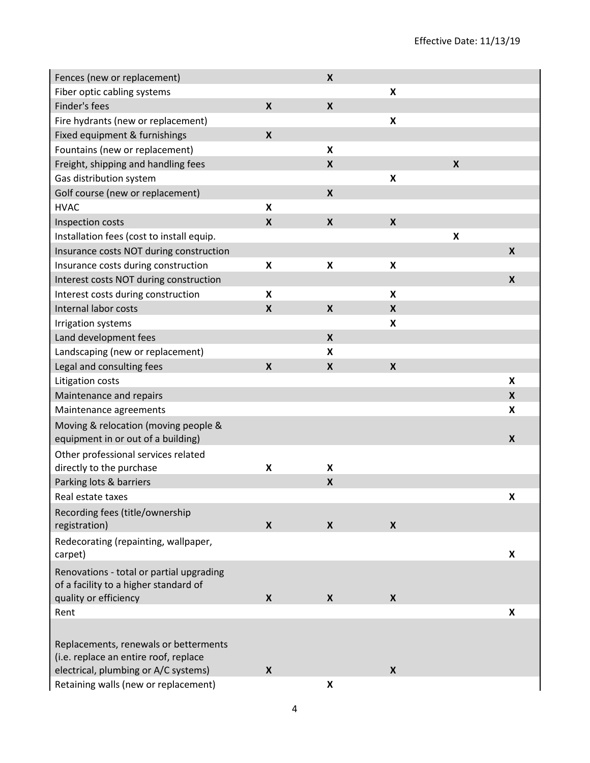| Fences (new or replacement)                                                       |                  | $\boldsymbol{\mathsf{X}}$ |                           |                    |                  |
|-----------------------------------------------------------------------------------|------------------|---------------------------|---------------------------|--------------------|------------------|
| Fiber optic cabling systems                                                       |                  |                           | X                         |                    |                  |
| Finder's fees                                                                     | $\boldsymbol{X}$ | $\boldsymbol{\mathsf{X}}$ |                           |                    |                  |
| Fire hydrants (new or replacement)                                                |                  |                           | $\pmb{\times}$            |                    |                  |
| Fixed equipment & furnishings                                                     | $\boldsymbol{X}$ |                           |                           |                    |                  |
| Fountains (new or replacement)                                                    |                  | $\boldsymbol{\mathsf{x}}$ |                           |                    |                  |
| Freight, shipping and handling fees                                               |                  | $\pmb{\times}$            |                           | $\boldsymbol{x}$   |                  |
| Gas distribution system                                                           |                  |                           | $\boldsymbol{\mathsf{x}}$ |                    |                  |
| Golf course (new or replacement)                                                  |                  | $\pmb{\times}$            |                           |                    |                  |
| <b>HVAC</b>                                                                       | X                |                           |                           |                    |                  |
| Inspection costs                                                                  | $\boldsymbol{x}$ | $\boldsymbol{\mathsf{X}}$ | $\boldsymbol{\mathsf{X}}$ |                    |                  |
| Installation fees (cost to install equip.                                         |                  |                           |                           | $\pmb{\mathsf{X}}$ |                  |
| Insurance costs NOT during construction                                           |                  |                           |                           |                    | $\boldsymbol{x}$ |
| Insurance costs during construction                                               | X                | $\pmb{\mathsf{X}}$        | $\pmb{\times}$            |                    |                  |
| Interest costs NOT during construction                                            |                  |                           |                           |                    | $\boldsymbol{x}$ |
| Interest costs during construction                                                | X                |                           | X                         |                    |                  |
| Internal labor costs                                                              | X                | $\boldsymbol{\mathsf{X}}$ | X                         |                    |                  |
| Irrigation systems                                                                |                  |                           | $\pmb{\mathsf{X}}$        |                    |                  |
| Land development fees                                                             |                  | $\pmb{\times}$            |                           |                    |                  |
| Landscaping (new or replacement)                                                  |                  | $\pmb{\mathsf{X}}$        |                           |                    |                  |
| Legal and consulting fees                                                         | $\boldsymbol{X}$ | $\pmb{\times}$            | $\boldsymbol{\mathsf{X}}$ |                    |                  |
| Litigation costs                                                                  |                  |                           |                           |                    | X                |
| Maintenance and repairs                                                           |                  |                           |                           |                    | X                |
| Maintenance agreements                                                            |                  |                           |                           |                    | X                |
| Moving & relocation (moving people &<br>equipment in or out of a building)        |                  |                           |                           |                    | $\boldsymbol{x}$ |
| Other professional services related                                               |                  |                           |                           |                    |                  |
| directly to the purchase                                                          | X                | $\boldsymbol{\mathsf{x}}$ |                           |                    |                  |
| Parking lots & barriers                                                           |                  | $\pmb{\mathsf{X}}$        |                           |                    |                  |
| Real estate taxes                                                                 |                  |                           |                           |                    | X                |
| Recording fees (title/ownership                                                   |                  |                           |                           |                    |                  |
| registration)                                                                     | X                | $\boldsymbol{X}$          | $\boldsymbol{\mathsf{X}}$ |                    |                  |
| Redecorating (repainting, wallpaper,<br>carpet)                                   |                  |                           |                           |                    | X                |
| Renovations - total or partial upgrading<br>of a facility to a higher standard of |                  |                           |                           |                    |                  |
| quality or efficiency                                                             | X                | X                         | X                         |                    |                  |
| Rent                                                                              |                  |                           |                           |                    | X                |
| Replacements, renewals or betterments<br>(i.e. replace an entire roof, replace    |                  |                           |                           |                    |                  |
| electrical, plumbing or A/C systems)                                              | X                |                           | $\boldsymbol{\mathsf{X}}$ |                    |                  |
| Retaining walls (new or replacement)                                              |                  | X                         |                           |                    |                  |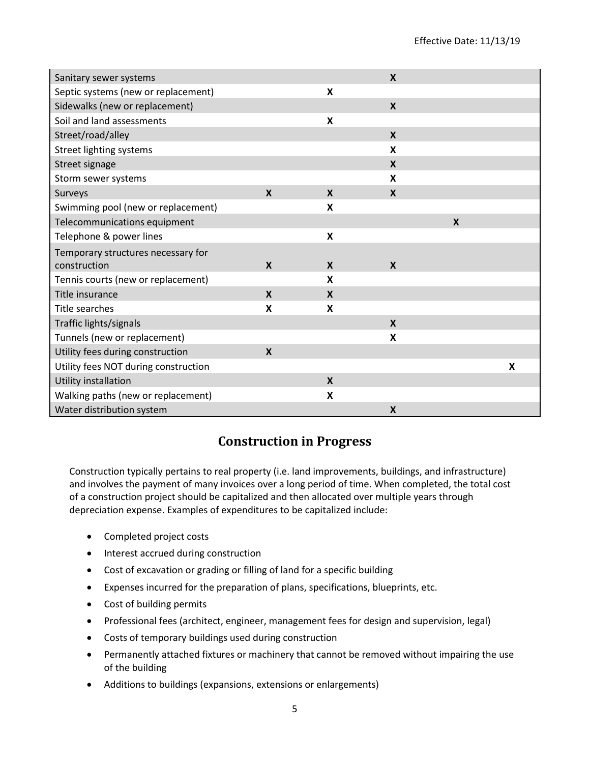| Sanitary sewer systems               |                  |                           | $\boldsymbol{\mathsf{X}}$ |                           |   |
|--------------------------------------|------------------|---------------------------|---------------------------|---------------------------|---|
| Septic systems (new or replacement)  |                  | X                         |                           |                           |   |
| Sidewalks (new or replacement)       |                  |                           | $\boldsymbol{\mathsf{X}}$ |                           |   |
| Soil and land assessments            |                  | $\pmb{\mathsf{X}}$        |                           |                           |   |
| Street/road/alley                    |                  |                           | $\boldsymbol{\mathsf{X}}$ |                           |   |
| Street lighting systems              |                  |                           | X                         |                           |   |
| Street signage                       |                  |                           | $\boldsymbol{\mathsf{X}}$ |                           |   |
| Storm sewer systems                  |                  |                           | X                         |                           |   |
| Surveys                              | $\mathbf x$      | X                         | X                         |                           |   |
| Swimming pool (new or replacement)   |                  | X                         |                           |                           |   |
| Telecommunications equipment         |                  |                           |                           | $\boldsymbol{\mathsf{X}}$ |   |
| Telephone & power lines              |                  | $\pmb{\mathsf{X}}$        |                           |                           |   |
| Temporary structures necessary for   |                  |                           |                           |                           |   |
| construction                         | $\boldsymbol{x}$ | X                         | $\boldsymbol{\mathsf{X}}$ |                           |   |
| Tennis courts (new or replacement)   |                  | X                         |                           |                           |   |
| Title insurance                      | $\mathbf{x}$     | X                         |                           |                           |   |
| Title searches                       | X                | X                         |                           |                           |   |
| Traffic lights/signals               |                  |                           | $\boldsymbol{X}$          |                           |   |
| Tunnels (new or replacement)         |                  |                           | X                         |                           |   |
| Utility fees during construction     | $\mathbf x$      |                           |                           |                           |   |
| Utility fees NOT during construction |                  |                           |                           |                           | X |
| Utility installation                 |                  | $\boldsymbol{\mathsf{X}}$ |                           |                           |   |
| Walking paths (new or replacement)   |                  | $\pmb{\mathsf{X}}$        |                           |                           |   |
| Water distribution system            |                  |                           | $\boldsymbol{X}$          |                           |   |

# **Construction in Progress**

Construction typically pertains to real property (i.e. land improvements, buildings, and infrastructure) and involves the payment of many invoices over a long period of time. When completed, the total cost of a construction project should be capitalized and then allocated over multiple years through depreciation expense. Examples of expenditures to be capitalized include:

- Completed project costs
- Interest accrued during construction
- Cost of excavation or grading or filling of land for a specific building
- Expenses incurred for the preparation of plans, specifications, blueprints, etc.
- Cost of building permits
- Professional fees (architect, engineer, management fees for design and supervision, legal)
- Costs of temporary buildings used during construction
- Permanently attached fixtures or machinery that cannot be removed without impairing the use of the building
- Additions to buildings (expansions, extensions or enlargements)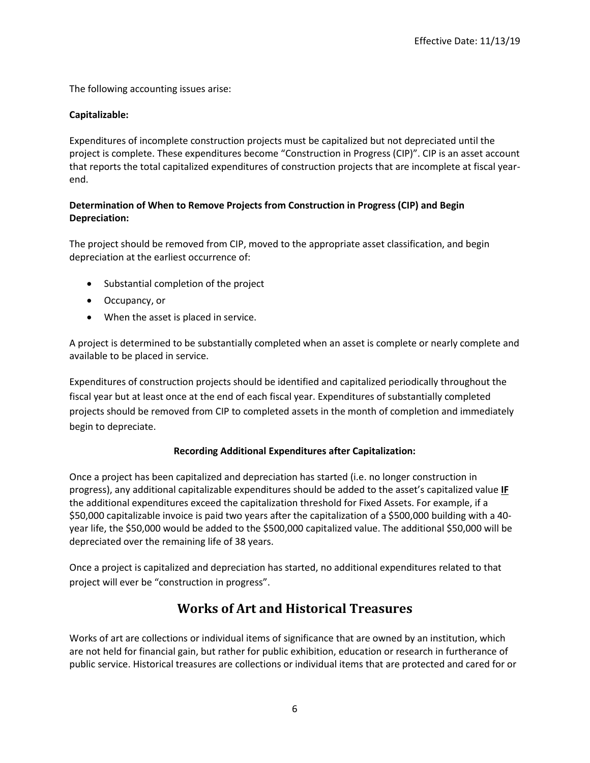The following accounting issues arise:

# **Capitalizable:**

Expenditures of incomplete construction projects must be capitalized but not depreciated until the project is complete. These expenditures become "Construction in Progress (CIP)". CIP is an asset account that reports the total capitalized expenditures of construction projects that are incomplete at fiscal yearend.

# **Determination of When to Remove Projects from Construction in Progress (CIP) and Begin Depreciation:**

The project should be removed from CIP, moved to the appropriate asset classification, and begin depreciation at the earliest occurrence of:

- Substantial completion of the project
- Occupancy, or
- When the asset is placed in service.

A project is determined to be substantially completed when an asset is complete or nearly complete and available to be placed in service.

Expenditures of construction projects should be identified and capitalized periodically throughout the fiscal year but at least once at the end of each fiscal year. Expenditures of substantially completed projects should be removed from CIP to completed assets in the month of completion and immediately begin to depreciate.

### **Recording Additional Expenditures after Capitalization:**

Once a project has been capitalized and depreciation has started (i.e. no longer construction in progress), any additional capitalizable expenditures should be added to the asset's capitalized value **IF** the additional expenditures exceed the capitalization threshold for Fixed Assets. For example, if a \$50,000 capitalizable invoice is paid two years after the capitalization of a \$500,000 building with a 40 year life, the \$50,000 would be added to the \$500,000 capitalized value. The additional \$50,000 will be depreciated over the remaining life of 38 years.

Once a project is capitalized and depreciation has started, no additional expenditures related to that project will ever be "construction in progress".

# **Works of Art and Historical Treasures**

Works of art are collections or individual items of significance that are owned by an institution, which are not held for financial gain, but rather for public exhibition, education or research in furtherance of public service. Historical treasures are collections or individual items that are protected and cared for or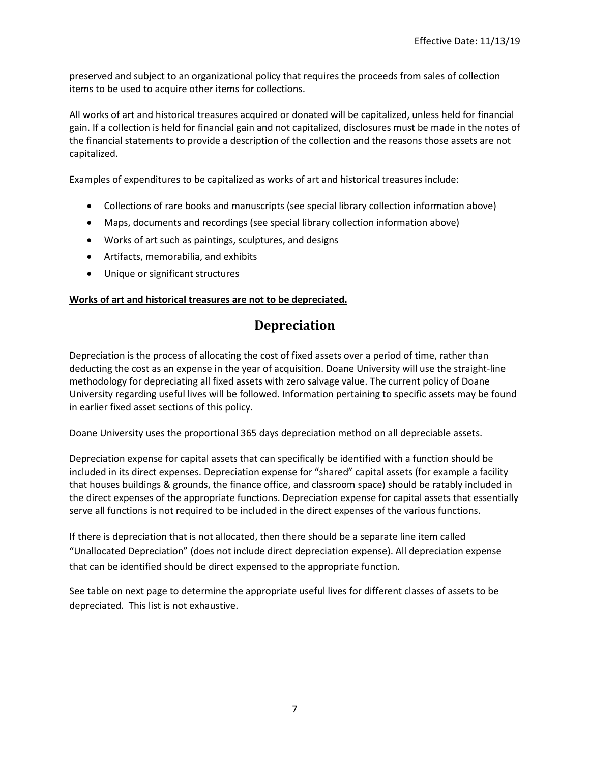preserved and subject to an organizational policy that requires the proceeds from sales of collection items to be used to acquire other items for collections.

All works of art and historical treasures acquired or donated will be capitalized, unless held for financial gain. If a collection is held for financial gain and not capitalized, disclosures must be made in the notes of the financial statements to provide a description of the collection and the reasons those assets are not capitalized.

Examples of expenditures to be capitalized as works of art and historical treasures include:

- Collections of rare books and manuscripts (see special library collection information above)
- Maps, documents and recordings (see special library collection information above)
- Works of art such as paintings, sculptures, and designs
- Artifacts, memorabilia, and exhibits
- Unique or significant structures

### **Works of art and historical treasures are not to be depreciated.**

# **Depreciation**

Depreciation is the process of allocating the cost of fixed assets over a period of time, rather than deducting the cost as an expense in the year of acquisition. Doane University will use the straight-line methodology for depreciating all fixed assets with zero salvage value. The current policy of Doane University regarding useful lives will be followed. Information pertaining to specific assets may be found in earlier fixed asset sections of this policy.

Doane University uses the proportional 365 days depreciation method on all depreciable assets.

Depreciation expense for capital assets that can specifically be identified with a function should be included in its direct expenses. Depreciation expense for "shared" capital assets (for example a facility that houses buildings & grounds, the finance office, and classroom space) should be ratably included in the direct expenses of the appropriate functions. Depreciation expense for capital assets that essentially serve all functions is not required to be included in the direct expenses of the various functions.

If there is depreciation that is not allocated, then there should be a separate line item called "Unallocated Depreciation" (does not include direct depreciation expense). All depreciation expense that can be identified should be direct expensed to the appropriate function.

See table on next page to determine the appropriate useful lives for different classes of assets to be depreciated. This list is not exhaustive.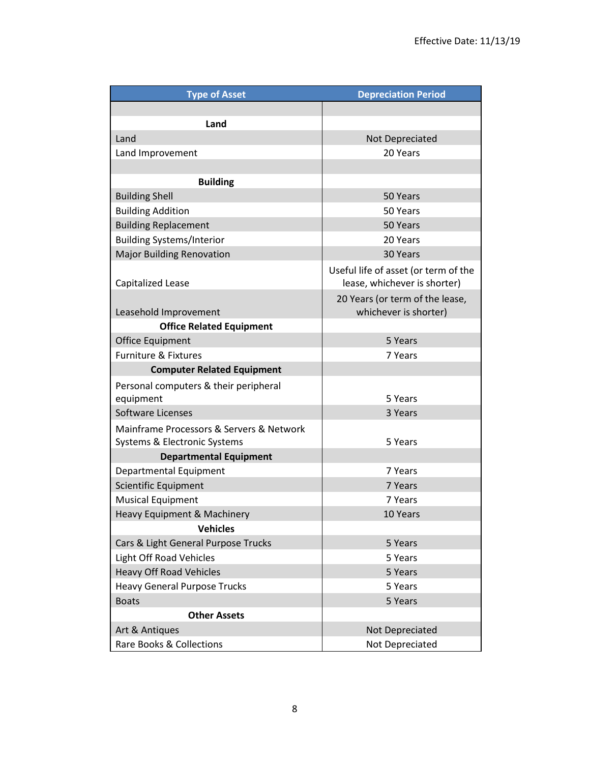| <b>Type of Asset</b>                                                     | <b>Depreciation Period</b>                                           |
|--------------------------------------------------------------------------|----------------------------------------------------------------------|
|                                                                          |                                                                      |
| Land                                                                     |                                                                      |
| Land                                                                     | Not Depreciated                                                      |
| Land Improvement                                                         | 20 Years                                                             |
|                                                                          |                                                                      |
| <b>Building</b>                                                          |                                                                      |
| <b>Building Shell</b>                                                    | 50 Years                                                             |
| <b>Building Addition</b>                                                 | 50 Years                                                             |
| <b>Building Replacement</b>                                              | 50 Years                                                             |
| <b>Building Systems/Interior</b>                                         | 20 Years                                                             |
| <b>Major Building Renovation</b>                                         | 30 Years                                                             |
| Capitalized Lease                                                        | Useful life of asset (or term of the<br>lease, whichever is shorter) |
| Leasehold Improvement                                                    | 20 Years (or term of the lease,<br>whichever is shorter)             |
| <b>Office Related Equipment</b>                                          |                                                                      |
| <b>Office Equipment</b>                                                  | 5 Years                                                              |
| <b>Furniture &amp; Fixtures</b>                                          | 7 Years                                                              |
| <b>Computer Related Equipment</b>                                        |                                                                      |
| Personal computers & their peripheral                                    |                                                                      |
| equipment                                                                | 5 Years                                                              |
| Software Licenses                                                        | 3 Years                                                              |
| Mainframe Processors & Servers & Network<br>Systems & Electronic Systems | 5 Years                                                              |
| <b>Departmental Equipment</b>                                            |                                                                      |
| Departmental Equipment                                                   | 7 Years                                                              |
| Scientific Equipment                                                     | 7 Years                                                              |
| <b>Musical Equipment</b>                                                 | 7 Years                                                              |
| <b>Heavy Equipment &amp; Machinery</b>                                   | 10 Years                                                             |
| <b>Vehicles</b>                                                          |                                                                      |
| Cars & Light General Purpose Trucks                                      | 5 Years                                                              |
| <b>Light Off Road Vehicles</b>                                           | 5 Years                                                              |
| <b>Heavy Off Road Vehicles</b>                                           | 5 Years                                                              |
| <b>Heavy General Purpose Trucks</b>                                      | 5 Years                                                              |
| <b>Boats</b>                                                             | 5 Years                                                              |
| <b>Other Assets</b>                                                      |                                                                      |
| Art & Antiques                                                           | Not Depreciated                                                      |
| <b>Rare Books &amp; Collections</b>                                      | Not Depreciated                                                      |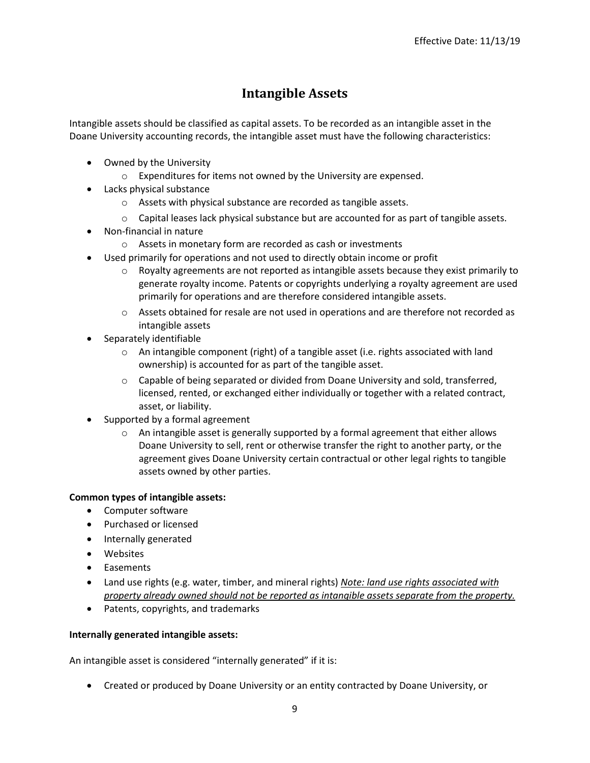# **Intangible Assets**

Intangible assets should be classified as capital assets. To be recorded as an intangible asset in the Doane University accounting records, the intangible asset must have the following characteristics:

- Owned by the University
	- o Expenditures for items not owned by the University are expensed.
- Lacks physical substance
	- o Assets with physical substance are recorded as tangible assets.
	- $\circ$  Capital leases lack physical substance but are accounted for as part of tangible assets.
- Non-financial in nature
	- o Assets in monetary form are recorded as cash or investments
- Used primarily for operations and not used to directly obtain income or profit
	- $\circ$  Royalty agreements are not reported as intangible assets because they exist primarily to generate royalty income. Patents or copyrights underlying a royalty agreement are used primarily for operations and are therefore considered intangible assets.
	- $\circ$  Assets obtained for resale are not used in operations and are therefore not recorded as intangible assets
- Separately identifiable
	- $\circ$  An intangible component (right) of a tangible asset (i.e. rights associated with land ownership) is accounted for as part of the tangible asset.
	- o Capable of being separated or divided from Doane University and sold, transferred, licensed, rented, or exchanged either individually or together with a related contract, asset, or liability.
- Supported by a formal agreement
	- $\circ$  An intangible asset is generally supported by a formal agreement that either allows Doane University to sell, rent or otherwise transfer the right to another party, or the agreement gives Doane University certain contractual or other legal rights to tangible assets owned by other parties.

#### **Common types of intangible assets:**

- Computer software
- Purchased or licensed
- Internally generated
- Websites
- Easements
- Land use rights (e.g. water, timber, and mineral rights) *Note: land use rights associated with property already owned should not be reported as intangible assets separate from the property.*
- Patents, copyrights, and trademarks

#### **Internally generated intangible assets:**

An intangible asset is considered "internally generated" if it is:

Created or produced by Doane University or an entity contracted by Doane University, or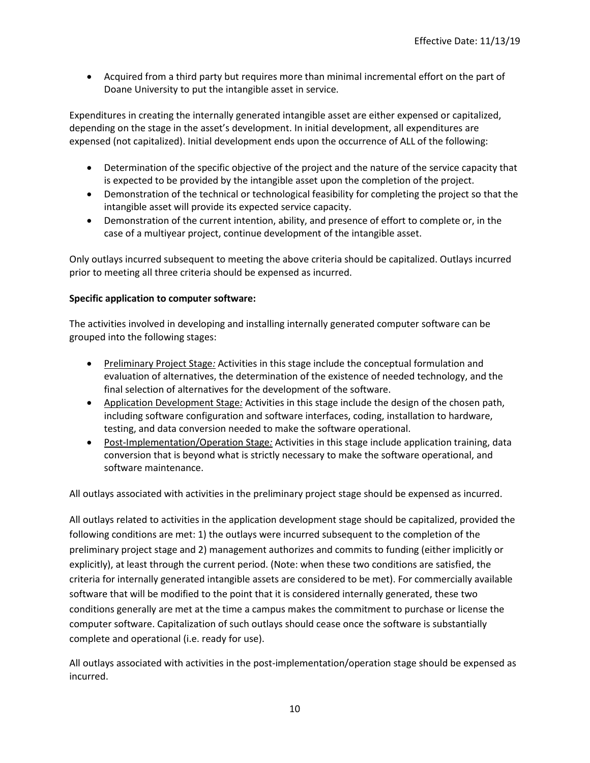Acquired from a third party but requires more than minimal incremental effort on the part of Doane University to put the intangible asset in service.

Expenditures in creating the internally generated intangible asset are either expensed or capitalized, depending on the stage in the asset's development. In initial development, all expenditures are expensed (not capitalized). Initial development ends upon the occurrence of ALL of the following:

- Determination of the specific objective of the project and the nature of the service capacity that is expected to be provided by the intangible asset upon the completion of the project.
- Demonstration of the technical or technological feasibility for completing the project so that the intangible asset will provide its expected service capacity.
- Demonstration of the current intention, ability, and presence of effort to complete or, in the case of a multiyear project, continue development of the intangible asset.

Only outlays incurred subsequent to meeting the above criteria should be capitalized. Outlays incurred prior to meeting all three criteria should be expensed as incurred.

### **Specific application to computer software:**

The activities involved in developing and installing internally generated computer software can be grouped into the following stages:

- **Preliminary Project Stage:** Activities in this stage include the conceptual formulation and evaluation of alternatives, the determination of the existence of needed technology, and the final selection of alternatives for the development of the software.
- Application Development Stage*:* Activities in this stage include the design of the chosen path, including software configuration and software interfaces, coding, installation to hardware, testing, and data conversion needed to make the software operational.
- Post-Implementation/Operation Stage*:* Activities in this stage include application training, data conversion that is beyond what is strictly necessary to make the software operational, and software maintenance.

All outlays associated with activities in the preliminary project stage should be expensed as incurred.

All outlays related to activities in the application development stage should be capitalized, provided the following conditions are met: 1) the outlays were incurred subsequent to the completion of the preliminary project stage and 2) management authorizes and commits to funding (either implicitly or explicitly), at least through the current period. (Note: when these two conditions are satisfied, the criteria for internally generated intangible assets are considered to be met). For commercially available software that will be modified to the point that it is considered internally generated, these two conditions generally are met at the time a campus makes the commitment to purchase or license the computer software. Capitalization of such outlays should cease once the software is substantially complete and operational (i.e. ready for use).

All outlays associated with activities in the post-implementation/operation stage should be expensed as incurred.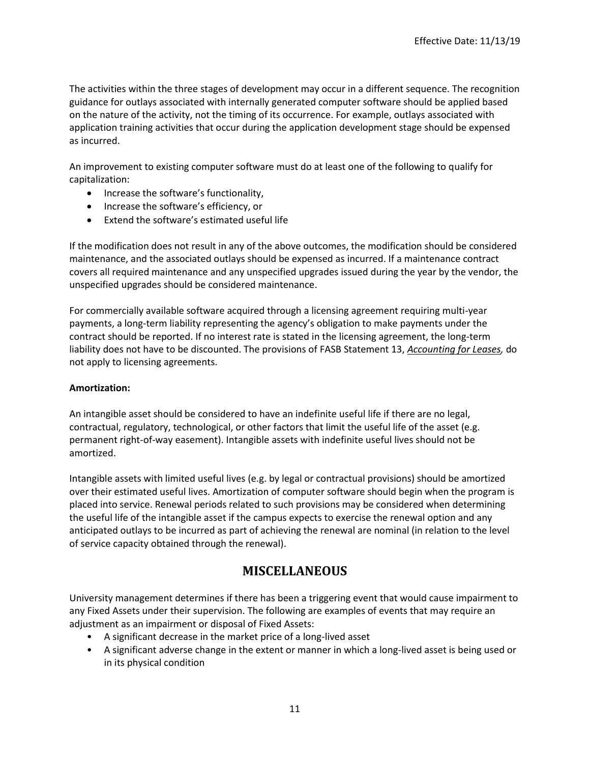The activities within the three stages of development may occur in a different sequence. The recognition guidance for outlays associated with internally generated computer software should be applied based on the nature of the activity, not the timing of its occurrence. For example, outlays associated with application training activities that occur during the application development stage should be expensed as incurred.

An improvement to existing computer software must do at least one of the following to qualify for capitalization:

- Increase the software's functionality,
- Increase the software's efficiency, or
- Extend the software's estimated useful life

If the modification does not result in any of the above outcomes, the modification should be considered maintenance, and the associated outlays should be expensed as incurred. If a maintenance contract covers all required maintenance and any unspecified upgrades issued during the year by the vendor, the unspecified upgrades should be considered maintenance.

For commercially available software acquired through a licensing agreement requiring multi-year payments, a long-term liability representing the agency's obligation to make payments under the contract should be reported. If no interest rate is stated in the licensing agreement, the long-term liability does not have to be discounted. The provisions of FASB Statement 13, *Accounting for Leases,* do not apply to licensing agreements.

#### **Amortization:**

An intangible asset should be considered to have an indefinite useful life if there are no legal, contractual, regulatory, technological, or other factors that limit the useful life of the asset (e.g. permanent right-of-way easement). Intangible assets with indefinite useful lives should not be amortized.

Intangible assets with limited useful lives (e.g. by legal or contractual provisions) should be amortized over their estimated useful lives. Amortization of computer software should begin when the program is placed into service. Renewal periods related to such provisions may be considered when determining the useful life of the intangible asset if the campus expects to exercise the renewal option and any anticipated outlays to be incurred as part of achieving the renewal are nominal (in relation to the level of service capacity obtained through the renewal).

# **MISCELLANEOUS**

University management determines if there has been a triggering event that would cause impairment to any Fixed Assets under their supervision. The following are examples of events that may require an adjustment as an impairment or disposal of Fixed Assets:

- A significant decrease in the market price of a long-lived asset
- A significant adverse change in the extent or manner in which a long-lived asset is being used or in its physical condition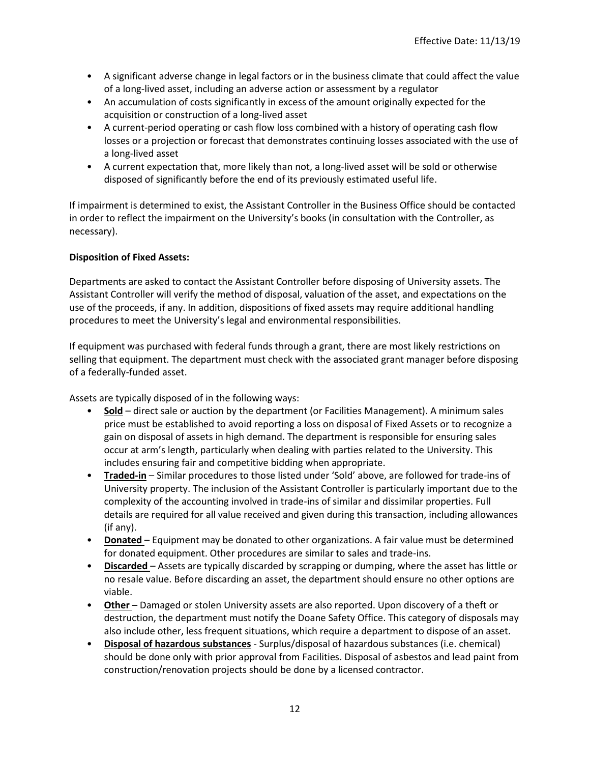- A significant adverse change in legal factors or in the business climate that could affect the value of a long-lived asset, including an adverse action or assessment by a regulator
- An accumulation of costs significantly in excess of the amount originally expected for the acquisition or construction of a long-lived asset
- A current-period operating or cash flow loss combined with a history of operating cash flow losses or a projection or forecast that demonstrates continuing losses associated with the use of a long-lived asset
- A current expectation that, more likely than not, a long-lived asset will be sold or otherwise disposed of significantly before the end of its previously estimated useful life.

If impairment is determined to exist, the Assistant Controller in the Business Office should be contacted in order to reflect the impairment on the University's books (in consultation with the Controller, as necessary).

### **Disposition of Fixed Assets:**

Departments are asked to contact the Assistant Controller before disposing of University assets. The Assistant Controller will verify the method of disposal, valuation of the asset, and expectations on the use of the proceeds, if any. In addition, dispositions of fixed assets may require additional handling procedures to meet the University's legal and environmental responsibilities.

If equipment was purchased with federal funds through a grant, there are most likely restrictions on selling that equipment. The department must check with the associated grant manager before disposing of a federally-funded asset.

Assets are typically disposed of in the following ways:

- **Sold** direct sale or auction by the department (or Facilities Management). A minimum sales price must be established to avoid reporting a loss on disposal of Fixed Assets or to recognize a gain on disposal of assets in high demand. The department is responsible for ensuring sales occur at arm's length, particularly when dealing with parties related to the University. This includes ensuring fair and competitive bidding when appropriate.
- **Traded-in** Similar procedures to those listed under 'Sold' above, are followed for trade-ins of University property. The inclusion of the Assistant Controller is particularly important due to the complexity of the accounting involved in trade-ins of similar and dissimilar properties. Full details are required for all value received and given during this transaction, including allowances (if any).
- **Donated** Equipment may be donated to other organizations. A fair value must be determined for donated equipment. Other procedures are similar to sales and trade-ins.
- **Discarded**  Assets are typically discarded by scrapping or dumping, where the asset has little or no resale value. Before discarding an asset, the department should ensure no other options are viable.
- **Other**  Damaged or stolen University assets are also reported. Upon discovery of a theft or destruction, the department must notify the Doane Safety Office. This category of disposals may also include other, less frequent situations, which require a department to dispose of an asset.
- **Disposal of hazardous substances** Surplus/disposal of hazardous substances (i.e. chemical) should be done only with prior approval from Facilities. Disposal of asbestos and lead paint from construction/renovation projects should be done by a licensed contractor.